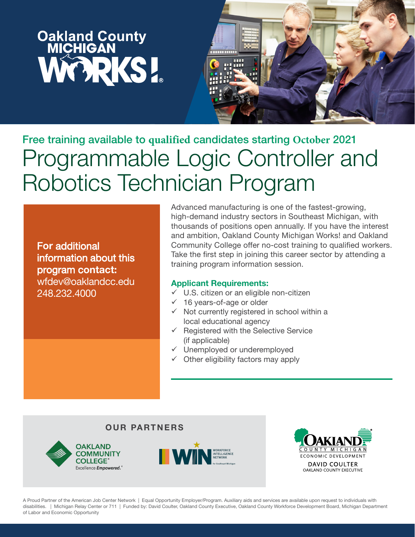# **Oakland County<br>MICHIGAN** WORKS!



Free training available to **qualified** candidates starting **October** 2021 Programmable Logic Controller and Robotics Technician Program

For additional information about this program contact: wfdev@oaklandcc.edu 248.232.4000

Advanced manufacturing is one of the fastest-growing, high-demand industry sectors in Southeast Michigan, with thousands of positions open annually. If you have the interest and ambition, Oakland County Michigan Works! and Oakland Community College offer no-cost training to qualified workers. Take the first step in joining this career sector by attending a training program information session.

#### Applicant Requirements:

- $\checkmark$  U.S. citizen or an eligible non-citizen
- $\checkmark$  16 years-of-age or older
- $\checkmark$  Not currently registered in school within a local educational agency
- $\checkmark$  Registered with the Selective Service (if applicable)
- Unemployed or underemployed
- $\checkmark$  Other eligibility factors may apply

#### OUR PARTNERS







A Proud Partner of the American Job Center Network | Equal Opportunity Employer/Program. Auxiliary aids and services are available upon request to individuals with disabilities. | Michigan Relay Center or 711 | Funded by: David Coulter, Oakland County Executive, Oakland County Workforce Development Board, Michigan Department of Labor and Economic Opportunity